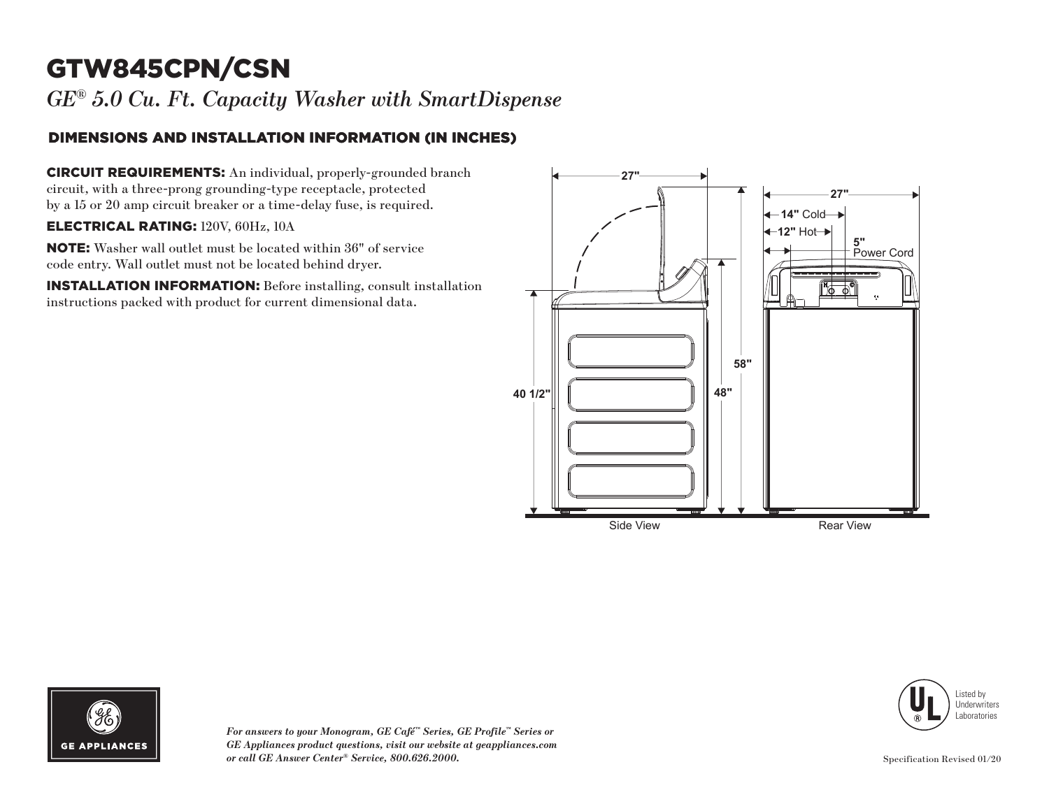# GTW845CPN/CSN

*GE® 5.0 Cu. Ft. Capacity Washer with SmartDispense*

### DIMENSIONS AND INSTALLATION INFORMATION (IN INCHES)

CIRCUIT REQUIREMENTS: An individual, properly-grounded branch circuit, with a three-prong grounding-type receptacle, protected by a 15 or 20 amp circuit breaker or a time-delay fuse, is required.

#### ELECTRICAL RATING: 120V, 60Hz, 10A

NOTE: Washer wall outlet must be located within 36" of service code entry. Wall outlet must not be located behind dryer.

INSTALLATION INFORMATION: Before installing, consult installation instructions packed with product for current dimensional data.







*For answers to your Monogram, GE Café™ Series, GE Profile™ Series or GE Appliances product questions, visit our website at geappliances.com or call GE Answer Center® Service, 800.626.2000.* Specification Revised 01/20